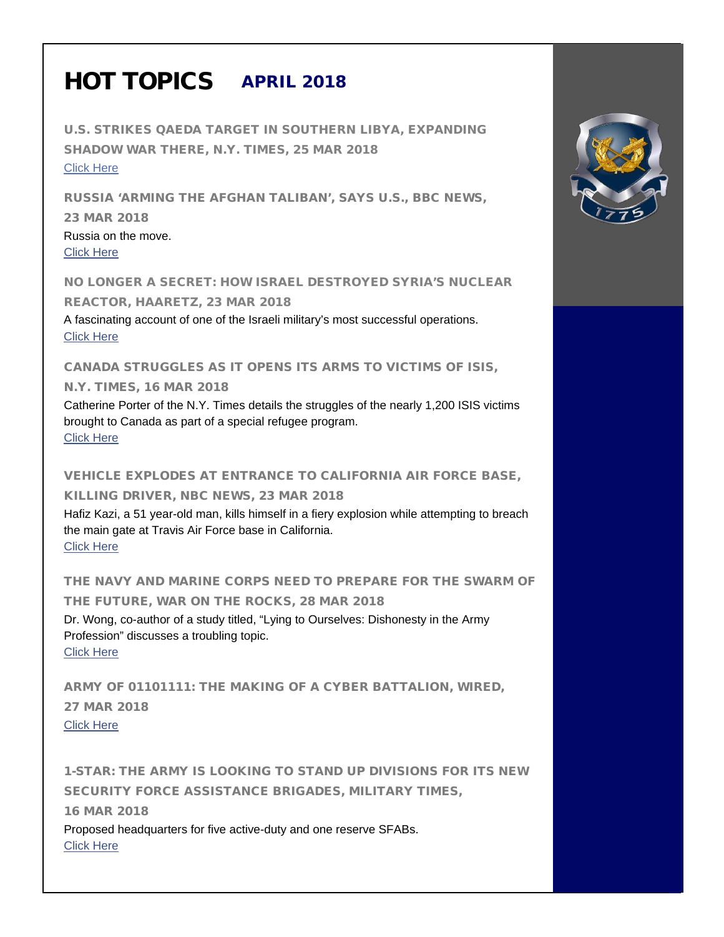## HOT TOPICS APRIL 2018

U.S. STRIKES QAEDA TARGET IN SOUTHERN LIBYA, EXPANDING SHADOW WAR THERE, N.Y. TIMES, 25 MAR 2018 [Click Here](https://www.nytimes.com/2018/03/25/world/middleeast/us-bombs-qaeda-libya.html)

RUSSIA 'ARMING THE AFGHAN TALIBAN', SAYS U.S., BBC NEWS, 23 MAR 2018 Russia on the move. [Click Here](http://www.bbc.com/news/world-asia-43500299?utm_source=Sailthru&utm_medium=email&utm_campaign=ebb%2003.26.18&utm_term=Editorial%20-%20Military%20-%20Early%20Bird%20Brief) 

NO LONGER A SECRET: HOW ISRAEL DESTROYED SYRIA'S NUCLEAR REACTOR, HAARETZ, 23 MAR 2018 A fascinating account of one of the Israeli military's most successful operations. [Click Here](https://www.haaretz.com/amp/israel-news/MAGAZINE-no-longer-a-secret-how-israel-destroyed-syria-s-nuclear-reactor-1.5914407?__twitter_impression=true)

CANADA STRUGGLES AS IT OPENS ITS ARMS TO VICTIMS OF ISIS,

N.Y. TIMES, 16 MAR 2018

Catherine Porter of the N.Y. Times details the struggles of the nearly 1,200 ISIS victims brought to Canada as part of a special refugee program. [Click Here](https://www.nytimes.com/2018/03/16/world/canada/canada-refugees-yazidi.html) 

VEHICLE EXPLODES AT ENTRANCE TO CALIFORNIA AIR FORCE BASE, KILLING DRIVER, NBC NEWS, 23 MAR 2018 Hafiz Kazi, a 51 year-old man, kills himself in a fiery explosion while attempting to breach the main gate at Travis Air Force base in California. [Click Here](https://www.nbcnews.com/news/us-news/vehicle-explodes-entrance-california-air-force-base-killing-driver-n859306) 

THE NAVY AND MARINE CORPS NEED TO PREPARE FOR THE SWARM OF THE FUTURE, WAR ON THE ROCKS, 28 MAR 2018 Dr. Wong, co-author of a study titled, "Lying to Ourselves: Dishonesty in the Army Profession" discusses a troubling topic. [Click Here](https://warontherocks.com/2018/03/the-navy-and-marine-corps-must-plan-for-the-swarm-of-the-future/) 

ARMY OF 01101111: THE MAKING OF A CYBER BATTALION, WIRED, 27 MAR 2018 [Click Here](https://www.wired.com/story/army-cyber-troops-fort-gordon/?utm_source=Sailthru&utm_medium=email&utm_campaign=ebb%2003.29.18&utm_term=Editorial%20-%20Military%20-%20Early%20Bird%20Brief) 

1-STAR: THE ARMY IS LOOKING TO STAND UP DIVISIONS FOR ITS NEW SECURITY FORCE ASSISTANCE BRIGADES, MILITARY TIMES, 16 MAR 2018 Proposed headquarters for five active-duty and one reserve SFABs. [Click Here](https://www.militarytimes.com/news/your-army/2018/03/16/1-star-the-army-is-looking-to-stand-up-divisions-for-its-new-security-force-assistance-brigades/)